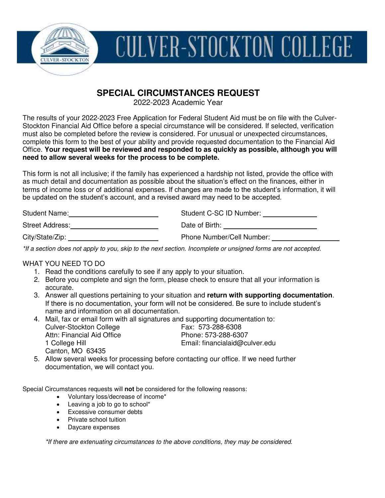

# **CULVER-STOCKTON COLLEGE**

# **SPECIAL CIRCUMSTANCES REQUEST**

2022-2023 Academic Year

The results of your 2022-2023 Free Application for Federal Student Aid must be on file with the Culver-Stockton Financial Aid Office before a special circumstance will be considered. If selected, verification must also be completed before the review is considered. For unusual or unexpected circumstances, complete this form to the best of your ability and provide requested documentation to the Financial Aid Office. **Your request will be reviewed and responded to as quickly as possible, although you will need to allow several weeks for the process to be complete.** 

This form is not all inclusive; if the family has experienced a hardship not listed, provide the office with as much detail and documentation as possible about the situation's effect on the finances, either in terms of income loss or of additional expenses. If changes are made to the student's information, it will be updated on the student's account, and a revised award may need to be accepted.

| Student Name:   | Student C-SC ID Number:   |
|-----------------|---------------------------|
| Street Address: | Date of Birth:            |
| City/State/Zip: | Phone Number/Cell Number: |

\*If a section does not apply to you, skip to the next section. Incomplete or unsigned forms are not accepted.

#### WHAT YOU NEED TO DO

- 1. Read the conditions carefully to see if any apply to your situation.
- 2. Before you complete and sign the form, please check to ensure that all your information is accurate.
- 3. Answer all questions pertaining to your situation and **return with supporting documentation**. If there is no documentation, your form will not be considered. Be sure to include student's name and information on all documentation.
- 4. Mail, fax or email form with all signatures and supporting documentation to: Culver-Stockton College Fax: 573-288-6308<br>Attn: Financial Aid Office Fax: 573-288-6307 Attn: Financial Aid Office 1 College Hill Email: financialaid@culver.edu Canton, MO 63435
- 5. Allow several weeks for processing before contacting our office. If we need further documentation, we will contact you.

Special Circumstances requests will **not** be considered for the following reasons:

- Voluntary loss/decrease of income\*
- Leaving a job to go to school\*
- **Excessive consumer debts**
- Private school tuition
- Daycare expenses

\*If there are extenuating circumstances to the above conditions, they may be considered.